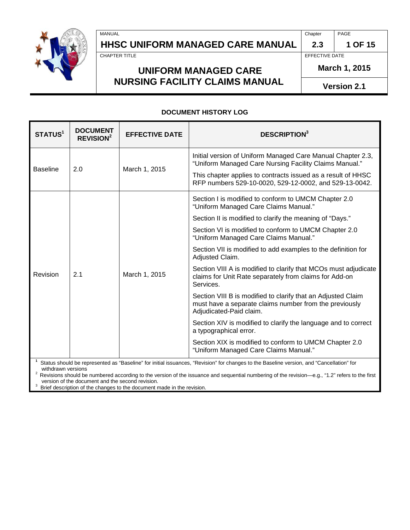# **HHSC UNIFORM MANAGED CARE MANUAL 2.3 1 OF 15**

MANUAL Chapter PAGE

CHAPTER TITLE EFFECTIVE DATE

**March 1, 2015**

**Version 2.1**

## **UNIFORM MANAGED CARE NURSING FACILITY CLAIMS MANUAL**

#### **DOCUMENT HISTORY LOG**

| STATUS <sup>1</sup> | <b>DOCUMENT</b><br><b>REVISION<sup>2</sup></b> | <b>EFFECTIVE DATE</b> | <b>DESCRIPTION</b> <sup>3</sup>                                                                                                                                                                                                                                                                                                                                                |  |
|---------------------|------------------------------------------------|-----------------------|--------------------------------------------------------------------------------------------------------------------------------------------------------------------------------------------------------------------------------------------------------------------------------------------------------------------------------------------------------------------------------|--|
| <b>Baseline</b>     | 2.0                                            | March 1, 2015         | Initial version of Uniform Managed Care Manual Chapter 2.3,<br>"Uniform Managed Care Nursing Facility Claims Manual."<br>This chapter applies to contracts issued as a result of HHSC<br>RFP numbers 529-10-0020, 529-12-0002, and 529-13-0042.                                                                                                                                |  |
|                     |                                                |                       |                                                                                                                                                                                                                                                                                                                                                                                |  |
| Revision            | 2.1                                            | March 1, 2015         | Section I is modified to conform to UMCM Chapter 2.0<br>"Uniform Managed Care Claims Manual."                                                                                                                                                                                                                                                                                  |  |
|                     |                                                |                       | Section II is modified to clarify the meaning of "Days."                                                                                                                                                                                                                                                                                                                       |  |
|                     |                                                |                       | Section VI is modified to conform to UMCM Chapter 2.0<br>"Uniform Managed Care Claims Manual."                                                                                                                                                                                                                                                                                 |  |
|                     |                                                |                       | Section VII is modified to add examples to the definition for<br>Adjusted Claim.                                                                                                                                                                                                                                                                                               |  |
|                     |                                                |                       | Section VIII A is modified to clarify that MCOs must adjudicate<br>claims for Unit Rate separately from claims for Add-on<br>Services.                                                                                                                                                                                                                                         |  |
|                     |                                                |                       | Section VIII B is modified to clarify that an Adjusted Claim<br>must have a separate claims number from the previously<br>Adjudicated-Paid claim.                                                                                                                                                                                                                              |  |
|                     |                                                |                       | Section XIV is modified to clarify the language and to correct<br>a typographical error.                                                                                                                                                                                                                                                                                       |  |
|                     |                                                |                       | Section XIX is modified to conform to UMCM Chapter 2.0<br>"Uniform Managed Care Claims Manual."                                                                                                                                                                                                                                                                                |  |
| withdrawn versions  |                                                |                       | Status should be represented as "Baseline" for initial issuances, "Revision" for changes to the Baseline version, and "Cancellation" for<br>$\ldots$ . In the second contract the second contract of the second contract of the second second $\sim$ 64. Officer and the second contract of the second second contract of the second second second second second second second |  |

Revisions should be numbered according to the version of the issuance and sequential numbering of the revision—e.g., "1.2" refers to the first version of the document and the second revision.

Brief description of the changes to the document made in the revision.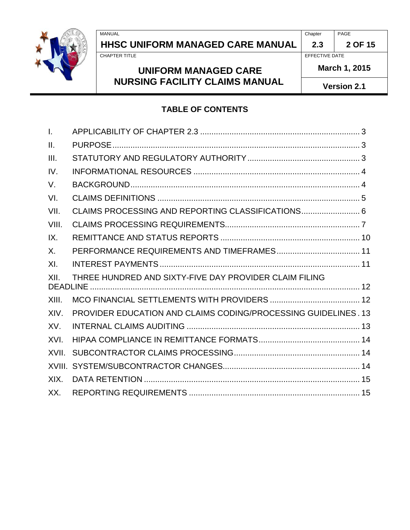# **HHSC UNIFORM MANAGED CARE MANUAL 2.3 2 OF 15**

# **UNIFORM MANAGED CARE NURSING FACILITY CLAIMS MANUAL**

EFFECTIVE DATE

**March 1, 2015**

**Version 2.1**

#### **TABLE OF CONTENTS**

| $\mathbf{I}$ .  |                                                                |  |
|-----------------|----------------------------------------------------------------|--|
| $\mathbf{II}$ . |                                                                |  |
| III.            |                                                                |  |
| IV.             |                                                                |  |
| V.              |                                                                |  |
| VI.             |                                                                |  |
| VII.            | CLAIMS PROCESSING AND REPORTING CLASSIFICATIONS 6              |  |
| VIII.           |                                                                |  |
| IX.             |                                                                |  |
| X.              |                                                                |  |
| XI.             |                                                                |  |
| XII.            | THREE HUNDRED AND SIXTY-FIVE DAY PROVIDER CLAIM FILING         |  |
| XIII.           |                                                                |  |
| XIV.            | PROVIDER EDUCATION AND CLAIMS CODING/PROCESSING GUIDELINES. 13 |  |
| XV.             |                                                                |  |
| XVI.            |                                                                |  |
| XVII.           |                                                                |  |
|                 |                                                                |  |
| XIX.            |                                                                |  |
| XX.             |                                                                |  |

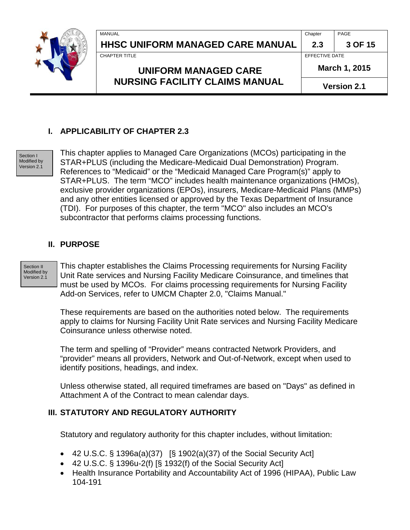|  | MANUAL                                                               | Chapter            | PAGE    |
|--|----------------------------------------------------------------------|--------------------|---------|
|  | <b>HHSC UNIFORM MANAGED CARE MANUAL</b>                              | 2.3                | 3 OF 15 |
|  | <b>CHAPTER TITLE</b>                                                 | EFFECTIVE DATE     |         |
|  | <b>UNIFORM MANAGED CARE</b><br><b>NURSING FACILITY CLAIMS MANUAL</b> | March 1, 2015      |         |
|  |                                                                      | <b>Version 2.1</b> |         |

#### <span id="page-2-0"></span>**I. APPLICABILITY OF CHAPTER 2.3**

Section I Modified by Version 2.1

This chapter applies to Managed Care Organizations (MCOs) participating in the STAR+PLUS (including the Medicare-Medicaid Dual Demonstration) Program. References to "Medicaid" or the "Medicaid Managed Care Program(s)" apply to STAR+PLUS. The term "MCO" includes health maintenance organizations (HMOs), exclusive provider organizations (EPOs), insurers, Medicare-Medicaid Plans (MMPs) and any other entities licensed or approved by the Texas Department of Insurance (TDI). For purposes of this chapter, the term "MCO" also includes an MCO's subcontractor that performs claims processing functions.

#### <span id="page-2-1"></span>**II. PURPOSE**

Section II Modified by Version 2.1

This chapter establishes the Claims Processing requirements for Nursing Facility Unit Rate services and Nursing Facility Medicare Coinsurance, and timelines that must be used by MCOs. For claims processing requirements for Nursing Facility Add-on Services, refer to UMCM Chapter 2.0, "Claims Manual."

These requirements are based on the authorities noted below. The requirements apply to claims for Nursing Facility Unit Rate services and Nursing Facility Medicare Coinsurance unless otherwise noted.

The term and spelling of "Provider" means contracted Network Providers, and "provider" means all providers, Network and Out-of-Network, except when used to identify positions, headings, and index.

Unless otherwise stated, all required timeframes are based on "Days" as defined in Attachment A of the Contract to mean calendar days.

#### <span id="page-2-2"></span>**III. STATUTORY AND REGULATORY AUTHORITY**

Statutory and regulatory authority for this chapter includes, without limitation:

- 42 U.S.C.  $\S$  1396a(a)(37) [ $\S$  1902(a)(37) of the Social Security Act]
- 42 U.S.C. § 1396u-2(f) [§ 1932(f) of the Social Security Act]
- Health Insurance Portability and Accountability Act of 1996 (HIPAA), Public Law 104-191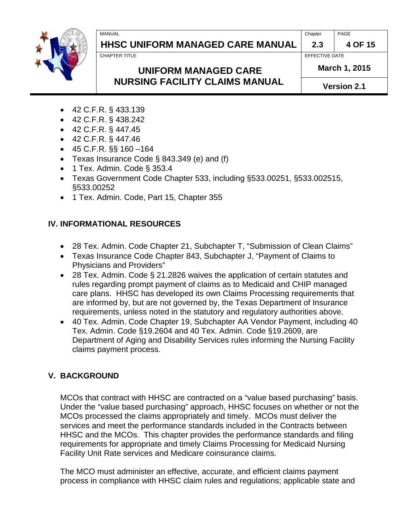# **HHSC UNIFORM MANAGED CARE MANUAL 2.3 4 OF 15**

MANUAL Chapter PAGE

CHAPTER TITLE **EFFECTIVE DATE** 

**March 1, 2015**

**UNIFORM MANAGED CARE NURSING FACILITY CLAIMS MANUAL** 

**Version 2.1**

- 42 C.F.R. § 433.139
- 42 C.F.R. § 438.242
- 42 C.F.R. § 447.45
- 42 C.F.R. § 447.46
- $\bullet$  45 C.F.R. §§ 160 -164
- Texas Insurance Code § 843.349 (e) and (f)
- 1 Tex. Admin. Code § 353.4
- Texas Government Code Chapter 533, including §533.00251, §533.002515, §533.00252
- 1 Tex. Admin. Code, Part 15, Chapter 355

# <span id="page-3-0"></span>**IV. INFORMATIONAL RESOURCES**

- 28 Tex. Admin. Code Chapter 21, Subchapter T, "Submission of Clean Claims"
- Texas Insurance Code Chapter 843, Subchapter J, "Payment of Claims to Physicians and Providers"
- 28 Tex. Admin. Code § 21.2826 waives the application of certain statutes and rules regarding prompt payment of claims as to Medicaid and CHIP managed care plans. HHSC has developed its own Claims Processing requirements that are informed by, but are not governed by, the Texas Department of Insurance requirements, unless noted in the statutory and regulatory authorities above.
- 40 Tex. Admin. Code Chapter 19, Subchapter AA Vendor Payment, including 40 Tex. Admin. Code §19.2604 and 40 Tex. Admin. Code §19.2609, are Department of Aging and Disability Services rules informing the Nursing Facility claims payment process.

# <span id="page-3-1"></span>**V. BACKGROUND**

MCOs that contract with HHSC are contracted on a "value based purchasing" basis. Under the "value based purchasing" approach, HHSC focuses on whether or not the MCOs processed the claims appropriately and timely. MCOs must deliver the services and meet the performance standards included in the Contracts between HHSC and the MCOs. This chapter provides the performance standards and filing requirements for appropriate and timely Claims Processing for Medicaid Nursing Facility Unit Rate services and Medicare coinsurance claims.

The MCO must administer an effective, accurate, and efficient claims payment process in compliance with HHSC claim rules and regulations; applicable state and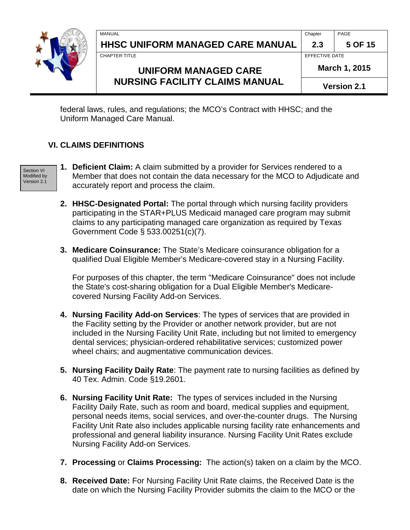| MANUAL                                       | <b>PAGE</b> |
|----------------------------------------------|-------------|
| <b>HHSC</b><br>: UNIFORM MANAGED CARE MANUAL |             |

**CHAPTER TITLE EFFECTIVE DATE** 

# **UNIFORM MANAGED CARE NURSING FACILITY CLAIMS MANUAL**

**March 1, 2015**

federal laws, rules, and regulations; the MCO's Contract with HHSC; and the Uniform Managed Care Manual.

#### <span id="page-4-0"></span>**VI. CLAIMS DEFINITIONS**

Section VI Modified by Version 2.1

- **1. Deficient Claim:** A claim submitted by a provider for Services rendered to a Member that does not contain the data necessary for the MCO to Adjudicate and accurately report and process the claim.
- **2. HHSC-Designated Portal:** The portal through which nursing facility providers participating in the STAR+PLUS Medicaid managed care program may submit claims to any participating managed care organization as required by Texas Government Code § 533.00251(c)(7).
- **3. Medicare Coinsurance:** The State's Medicare coinsurance obligation for a qualified Dual Eligible Member's Medicare-covered stay in a Nursing Facility.

For purposes of this chapter, the term "Medicare Coinsurance" does not include the State's cost-sharing obligation for a Dual Eligible Member's Medicarecovered Nursing Facility Add-on Services.

- **4. Nursing Facility Add-on Services**: The types of services that are provided in the Facility setting by the Provider or another network provider, but are not included in the Nursing Facility Unit Rate, including but not limited to emergency dental services; physician-ordered rehabilitative services; customized power wheel chairs; and augmentative communication devices.
- **5. Nursing Facility Daily Rate**: The payment rate to nursing facilities as defined by 40 Tex. Admin. Code §19.2601.
- **6. Nursing Facility Unit Rate:** The types of services included in the Nursing Facility Daily Rate, such as room and board, medical supplies and equipment, personal needs items, social services, and over-the-counter drugs. The Nursing Facility Unit Rate also includes applicable nursing facility rate enhancements and professional and general liability insurance. Nursing Facility Unit Rates exclude Nursing Facility Add-on Services.
- **7. Processing** or **Claims Processing:** The action(s) taken on a claim by the MCO.
- **8. Received Date:** For Nursing Facility Unit Rate claims, the Received Date is the date on which the Nursing Facility Provider submits the claim to the MCO or the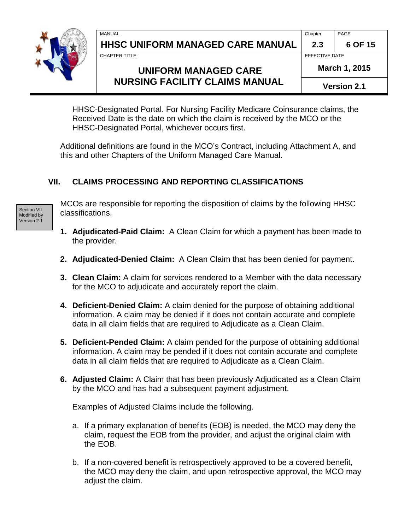# **HHSC UNIFORM MANAGED CARE MANUAL 2.3 6 OF 15**

MANUAL Chapter PAGE

CHAPTER TITLE **EFFECTIVE DATE** 

## **UNIFORM MANAGED CARE NURSING FACILITY CLAIMS MANUAL**

**March 1, 2015**

**Version 2.1**

HHSC-Designated Portal. For Nursing Facility Medicare Coinsurance claims, the Received Date is the date on which the claim is received by the MCO or the HHSC-Designated Portal, whichever occurs first.

Additional definitions are found in the MCO's Contract, including Attachment A, and this and other Chapters of the Uniform Managed Care Manual.

#### <span id="page-5-0"></span>**VII. CLAIMS PROCESSING AND REPORTING CLASSIFICATIONS**

Section VII Modified by Version 2.1

MCOs are responsible for reporting the disposition of claims by the following HHSC classifications.

- **1. Adjudicated-Paid Claim:** A Clean Claim for which a payment has been made to the provider.
- **2. Adjudicated-Denied Claim:** A Clean Claim that has been denied for payment.
- **3. Clean Claim:** A claim for services rendered to a Member with the data necessary for the MCO to adjudicate and accurately report the claim.
- **4. Deficient-Denied Claim:** A claim denied for the purpose of obtaining additional information. A claim may be denied if it does not contain accurate and complete data in all claim fields that are required to Adjudicate as a Clean Claim.
- **5. Deficient-Pended Claim:** A claim pended for the purpose of obtaining additional information. A claim may be pended if it does not contain accurate and complete data in all claim fields that are required to Adjudicate as a Clean Claim.
- **6. Adjusted Claim:** A Claim that has been previously Adjudicated as a Clean Claim by the MCO and has had a subsequent payment adjustment.

Examples of Adjusted Claims include the following.

- a. If a primary explanation of benefits (EOB) is needed, the MCO may deny the claim, request the EOB from the provider, and adjust the original claim with the EOB.
- b. If a non-covered benefit is retrospectively approved to be a covered benefit, the MCO may deny the claim, and upon retrospective approval, the MCO may adjust the claim.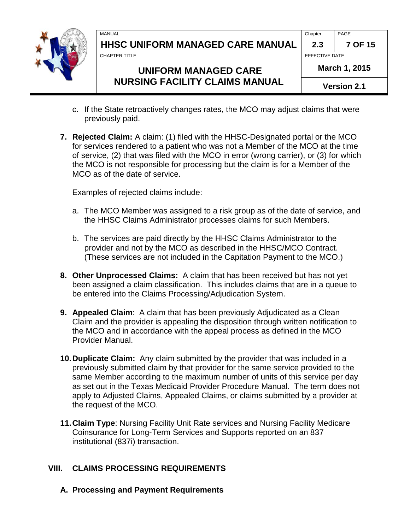

MANUAL Chapter PAGE **HHSC UNIFORM MANAGED CARE MANUAL 2.3 7 OF 15**

CHAPTER TITLE **EFFECTIVE DATE** 

# **UNIFORM MANAGED CARE NURSING FACILITY CLAIMS MANUAL**

**March 1, 2015**

**Version 2.1**

- c. If the State retroactively changes rates, the MCO may adjust claims that were previously paid.
- **7. Rejected Claim:** A claim: (1) filed with the HHSC-Designated portal or the MCO for services rendered to a patient who was not a Member of the MCO at the time of service, (2) that was filed with the MCO in error (wrong carrier), or (3) for which the MCO is not responsible for processing but the claim is for a Member of the MCO as of the date of service.

Examples of rejected claims include:

- a. The MCO Member was assigned to a risk group as of the date of service, and the HHSC Claims Administrator processes claims for such Members.
- b. The services are paid directly by the HHSC Claims Administrator to the provider and not by the MCO as described in the HHSC/MCO Contract. (These services are not included in the Capitation Payment to the MCO.)
- **8. Other Unprocessed Claims:** A claim that has been received but has not yet been assigned a claim classification. This includes claims that are in a queue to be entered into the Claims Processing/Adjudication System.
- **9. Appealed Claim**: A claim that has been previously Adjudicated as a Clean Claim and the provider is appealing the disposition through written notification to the MCO and in accordance with the appeal process as defined in the MCO Provider Manual.
- **10.Duplicate Claim:** Any claim submitted by the provider that was included in a previously submitted claim by that provider for the same service provided to the same Member according to the maximum number of units of this service per day as set out in the Texas Medicaid Provider Procedure Manual. The term does not apply to Adjusted Claims, Appealed Claims, or claims submitted by a provider at the request of the MCO.
- **11.Claim Type**: Nursing Facility Unit Rate services and Nursing Facility Medicare Coinsurance for Long-Term Services and Supports reported on an 837 institutional (837i) transaction.

## <span id="page-6-0"></span>**VIII. CLAIMS PROCESSING REQUIREMENTS**

**A. Processing and Payment Requirements**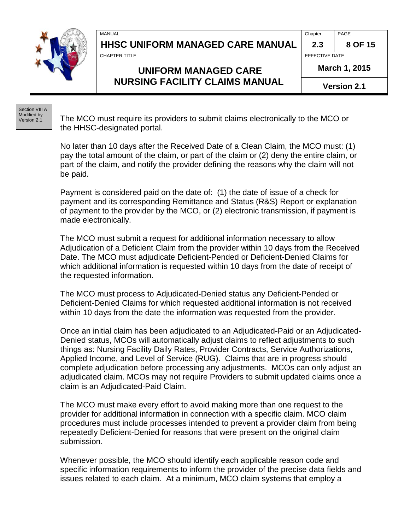MANUAL Chapter PAGE

# **HHSC UNIFORM MANAGED CARE MANUAL 2.3 8 OF 15**

CHAPTER TITLE **EFFECTIVE DATE** 

## **UNIFORM MANAGED CARE NURSING FACILITY CLAIMS MANUAL**

**March 1, 2015**

**Version 2.1**

Section VIII A Modified by Version 2.1

The MCO must require its providers to submit claims electronically to the MCO or the HHSC-designated portal.

No later than 10 days after the Received Date of a Clean Claim, the MCO must: (1) pay the total amount of the claim, or part of the claim or (2) deny the entire claim, or part of the claim, and notify the provider defining the reasons why the claim will not be paid.

Payment is considered paid on the date of: (1) the date of issue of a check for payment and its corresponding Remittance and Status (R&S) Report or explanation of payment to the provider by the MCO, or (2) electronic transmission, if payment is made electronically.

The MCO must submit a request for additional information necessary to allow Adjudication of a Deficient Claim from the provider within 10 days from the Received Date. The MCO must adjudicate Deficient-Pended or Deficient-Denied Claims for which additional information is requested within 10 days from the date of receipt of the requested information.

The MCO must process to Adjudicated-Denied status any Deficient-Pended or Deficient-Denied Claims for which requested additional information is not received within 10 days from the date the information was requested from the provider.

Once an initial claim has been adjudicated to an Adjudicated-Paid or an Adjudicated-Denied status, MCOs will automatically adjust claims to reflect adjustments to such things as: Nursing Facility Daily Rates, Provider Contracts, Service Authorizations, Applied Income, and Level of Service (RUG). Claims that are in progress should complete adjudication before processing any adjustments. MCOs can only adjust an adjudicated claim. MCOs may not require Providers to submit updated claims once a claim is an Adjudicated-Paid Claim.

The MCO must make every effort to avoid making more than one request to the provider for additional information in connection with a specific claim. MCO claim procedures must include processes intended to prevent a provider claim from being repeatedly Deficient-Denied for reasons that were present on the original claim submission.

Whenever possible, the MCO should identify each applicable reason code and specific information requirements to inform the provider of the precise data fields and issues related to each claim. At a minimum, MCO claim systems that employ a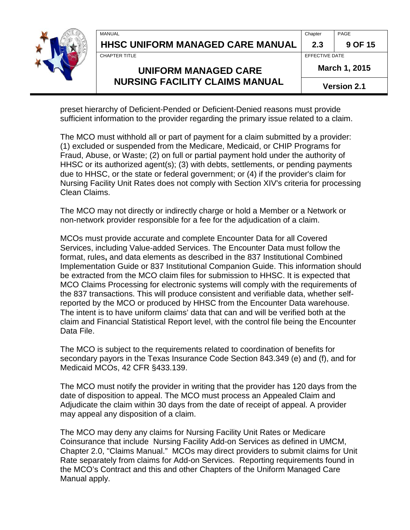# **HHSC UNIFORM MANAGED CARE MANUAL 2.3 9 OF 15**

MANUAL Chapter PAGE

CHAPTER TITLE **EFFECTIVE DATE** 

# **UNIFORM MANAGED CARE NURSING FACILITY CLAIMS MANUAL**

**March 1, 2015**

preset hierarchy of Deficient-Pended or Deficient-Denied reasons must provide sufficient information to the provider regarding the primary issue related to a claim.

The MCO must withhold all or part of payment for a claim submitted by a provider: (1) excluded or suspended from the Medicare, Medicaid, or CHIP Programs for Fraud, Abuse, or Waste; (2) on full or partial payment hold under the authority of HHSC or its authorized agent(s); (3) with debts, settlements, or pending payments due to HHSC, or the state or federal government; or (4) if the provider's claim for Nursing Facility Unit Rates does not comply with Section XIV's criteria for processing Clean Claims.

The MCO may not directly or indirectly charge or hold a Member or a Network or non-network provider responsible for a fee for the adjudication of a claim.

MCOs must provide accurate and complete Encounter Data for all Covered Services, including Value-added Services. The Encounter Data must follow the format, rules**,** and data elements as described in the 837 Institutional Combined Implementation Guide or 837 Institutional Companion Guide. This information should be extracted from the MCO claim files for submission to HHSC. It is expected that MCO Claims Processing for electronic systems will comply with the requirements of the 837 transactions. This will produce consistent and verifiable data, whether selfreported by the MCO or produced by HHSC from the Encounter Data warehouse. The intent is to have uniform claims' data that can and will be verified both at the claim and Financial Statistical Report level, with the control file being the Encounter Data File.

The MCO is subject to the requirements related to coordination of benefits for secondary payors in the Texas Insurance Code Section 843.349 (e) and (f), and for Medicaid MCOs, 42 CFR §433.139.

The MCO must notify the provider in writing that the provider has 120 days from the date of disposition to appeal. The MCO must process an Appealed Claim and Adjudicate the claim within 30 days from the date of receipt of appeal. A provider may appeal any disposition of a claim.

The MCO may deny any claims for Nursing Facility Unit Rates or Medicare Coinsurance that include Nursing Facility Add-on Services as defined in UMCM, Chapter 2.0, "Claims Manual." MCOs may direct providers to submit claims for Unit Rate separately from claims for Add-on Services. Reporting requirements found in the MCO's Contract and this and other Chapters of the Uniform Managed Care Manual apply.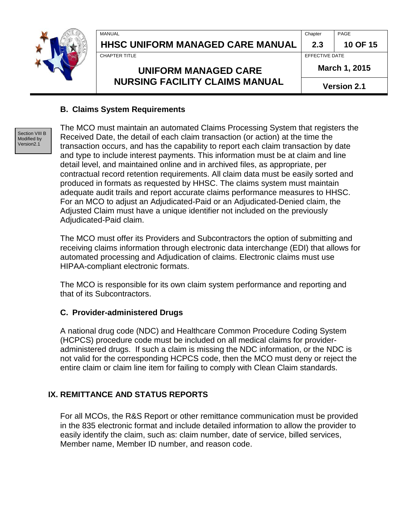**HHSC UNIFORM MANAGED CARE MANUAL 2.3 10 OF 15**

MANUAL Chapter PAGE

CHAPTER TITLE **EFFECTIVE DATE** 

# **UNIFORM MANAGED CARE NURSING FACILITY CLAIMS MANUAL**

**March 1, 2015**

**Version 2.1**

#### **B. Claims System Requirements**

Section VIII B Modified by Version2.1

The MCO must maintain an automated Claims Processing System that registers the Received Date, the detail of each claim transaction (or action) at the time the transaction occurs, and has the capability to report each claim transaction by date and type to include interest payments. This information must be at claim and line detail level, and maintained online and in archived files, as appropriate, per contractual record retention requirements. All claim data must be easily sorted and produced in formats as requested by HHSC. The claims system must maintain adequate audit trails and report accurate claims performance measures to HHSC. For an MCO to adjust an Adjudicated-Paid or an Adjudicated-Denied claim, the Adjusted Claim must have a unique identifier not included on the previously Adjudicated-Paid claim.

The MCO must offer its Providers and Subcontractors the option of submitting and receiving claims information through electronic data interchange (EDI) that allows for automated processing and Adjudication of claims. Electronic claims must use HIPAA-compliant electronic formats.

The MCO is responsible for its own claim system performance and reporting and that of its Subcontractors.

#### **C. Provider-administered Drugs**

A national drug code (NDC) and Healthcare Common Procedure Coding System (HCPCS) procedure code must be included on all medical claims for provideradministered drugs. If such a claim is missing the NDC information, or the NDC is not valid for the corresponding HCPCS code, then the MCO must deny or reject the entire claim or claim line item for failing to comply with Clean Claim standards.

#### <span id="page-9-0"></span>**IX. REMITTANCE AND STATUS REPORTS**

For all MCOs, the R&S Report or other remittance communication must be provided in the 835 electronic format and include detailed information to allow the provider to easily identify the claim, such as: claim number, date of service, billed services, Member name, Member ID number, and reason code.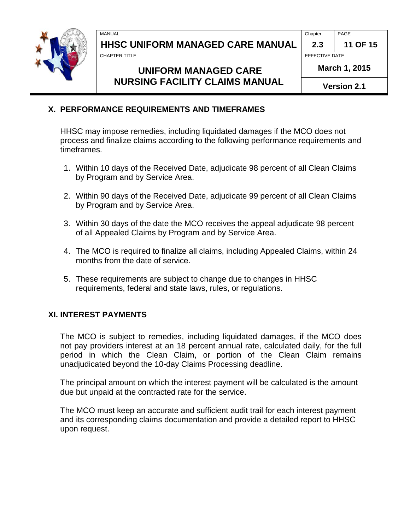MANUAL Chapter PAGE

| 2.3 | 11 OF 15 |
|-----|----------|
|     |          |

**CHAPTER TITLE EXECUTE 2** CHAPTER TITLE

# **UNIFORM MANAGED CARE NURSING FACILITY CLAIMS MANUAL**

**Version 2.1**

#### <span id="page-10-0"></span>**X. PERFORMANCE REQUIREMENTS AND TIMEFRAMES**

HHSC may impose remedies, including liquidated damages if the MCO does not process and finalize claims according to the following performance requirements and timeframes.

- 1. Within 10 days of the Received Date, adjudicate 98 percent of all Clean Claims by Program and by Service Area.
- 2. Within 90 days of the Received Date, adjudicate 99 percent of all Clean Claims by Program and by Service Area.
- 3. Within 30 days of the date the MCO receives the appeal adjudicate 98 percent of all Appealed Claims by Program and by Service Area.
- 4. The MCO is required to finalize all claims, including Appealed Claims, within 24 months from the date of service.
- 5. These requirements are subject to change due to changes in HHSC requirements, federal and state laws, rules, or regulations.

#### <span id="page-10-1"></span>**XI. INTEREST PAYMENTS**

The MCO is subject to remedies, including liquidated damages, if the MCO does not pay providers interest at an 18 percent annual rate, calculated daily, for the full period in which the Clean Claim, or portion of the Clean Claim remains unadjudicated beyond the 10-day Claims Processing deadline.

The principal amount on which the interest payment will be calculated is the amount due but unpaid at the contracted rate for the service.

The MCO must keep an accurate and sufficient audit trail for each interest payment and its corresponding claims documentation and provide a detailed report to HHSC upon request.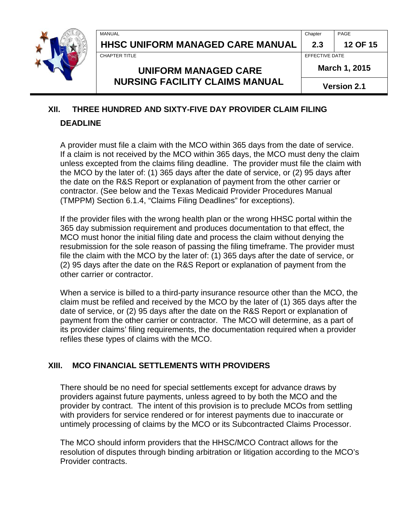# **HHSC UNIFORM MANAGED CARE MANUAL 2.3 12 OF 15**

**UNIFORM MANAGED CARE NURSING FACILITY CLAIMS MANUAL** 

MANUAL Chapter PAGE

CHAPTER TITLE **EFFECTIVE DATE** 

**March 1, 2015**

**Version 2.1**

# <span id="page-11-0"></span>**XII. THREE HUNDRED AND SIXTY-FIVE DAY PROVIDER CLAIM FILING**

#### **DEADLINE**

A provider must file a claim with the MCO within 365 days from the date of service. If a claim is not received by the MCO within 365 days, the MCO must deny the claim unless excepted from the claims filing deadline. The provider must file the claim with the MCO by the later of: (1) 365 days after the date of service, or (2) 95 days after the date on the R&S Report or explanation of payment from the other carrier or contractor. (See below and the Texas Medicaid Provider Procedures Manual (TMPPM) Section 6.1.4, "Claims Filing Deadlines" for exceptions).

If the provider files with the wrong health plan or the wrong HHSC portal within the 365 day submission requirement and produces documentation to that effect, the MCO must honor the initial filing date and process the claim without denying the resubmission for the sole reason of passing the filing timeframe. The provider must file the claim with the MCO by the later of: (1) 365 days after the date of service, or (2) 95 days after the date on the R&S Report or explanation of payment from the other carrier or contractor.

When a service is billed to a third-party insurance resource other than the MCO, the claim must be refiled and received by the MCO by the later of (1) 365 days after the date of service, or (2) 95 days after the date on the R&S Report or explanation of payment from the other carrier or contractor. The MCO will determine, as a part of its provider claims' filing requirements, the documentation required when a provider refiles these types of claims with the MCO.

## <span id="page-11-1"></span>**XIII. MCO FINANCIAL SETTLEMENTS WITH PROVIDERS**

There should be no need for special settlements except for advance draws by providers against future payments, unless agreed to by both the MCO and the provider by contract. The intent of this provision is to preclude MCOs from settling with providers for service rendered or for interest payments due to inaccurate or untimely processing of claims by the MCO or its Subcontracted Claims Processor.

The MCO should inform providers that the HHSC/MCO Contract allows for the resolution of disputes through binding arbitration or litigation according to the MCO's Provider contracts.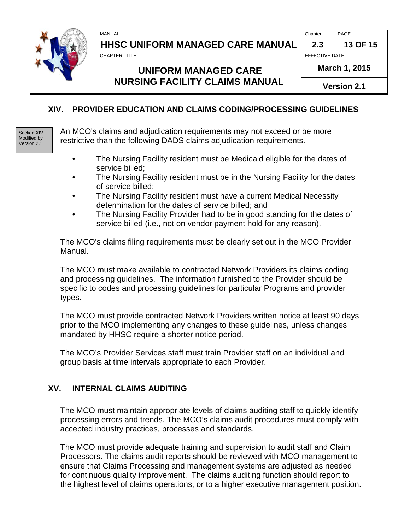MANUAL Chapter PAGE

# **HHSC UNIFORM MANAGED CARE MANUAL 2.3 13 OF 15**

CHAPTER TITLE **EFFECTIVE DATE** 

# **UNIFORM MANAGED CARE NURSING FACILITY CLAIMS MANUAL**

**March 1, 2015**

**Version 2.1**

#### <span id="page-12-0"></span>**XIV. PROVIDER EDUCATION AND CLAIMS CODING/PROCESSING GUIDELINES**

Section XIV Modified by Version 2.1

An MCO's claims and adjudication requirements may not exceed or be more restrictive than the following DADS claims adjudication requirements.

- The Nursing Facility resident must be Medicaid eligible for the dates of service billed;
- The Nursing Facility resident must be in the Nursing Facility for the dates of service billed;
- The Nursing Facility resident must have a current Medical Necessity determination for the dates of service billed; and
- The Nursing Facility Provider had to be in good standing for the dates of service billed (i.e., not on vendor payment hold for any reason).

The MCO's claims filing requirements must be clearly set out in the MCO Provider Manual.

The MCO must make available to contracted Network Providers its claims coding and processing guidelines. The information furnished to the Provider should be specific to codes and processing guidelines for particular Programs and provider types.

The MCO must provide contracted Network Providers written notice at least 90 days prior to the MCO implementing any changes to these guidelines, unless changes mandated by HHSC require a shorter notice period.

The MCO's Provider Services staff must train Provider staff on an individual and group basis at time intervals appropriate to each Provider.

#### <span id="page-12-1"></span>**XV. INTERNAL CLAIMS AUDITING**

The MCO must maintain appropriate levels of claims auditing staff to quickly identify processing errors and trends. The MCO's claims audit procedures must comply with accepted industry practices, processes and standards.

The MCO must provide adequate training and supervision to audit staff and Claim Processors. The claims audit reports should be reviewed with MCO management to ensure that Claims Processing and management systems are adjusted as needed for continuous quality improvement. The claims auditing function should report to the highest level of claims operations, or to a higher executive management position.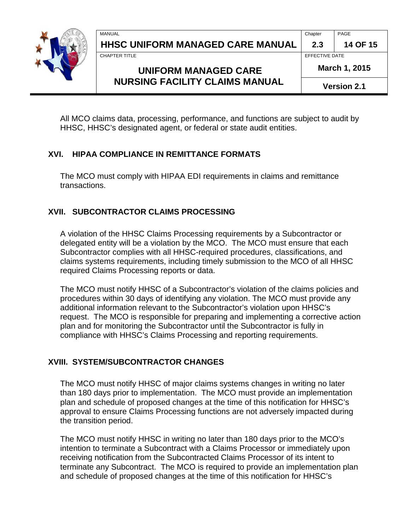| MANUAL<br>$\sim$ $\sim$ | $\overline{\phantom{0}}$<br>Chapter | PAGE |
|-------------------------|-------------------------------------|------|

# **UNIFORM MANAGED CARE NURSING FACILITY CLAIMS MANUAL**

**March 1, 2015**

**Version 2.1**

All MCO claims data, processing, performance, and functions are subject to audit by HHSC, HHSC's designated agent, or federal or state audit entities.

#### <span id="page-13-0"></span>**XVI. HIPAA COMPLIANCE IN REMITTANCE FORMATS**

The MCO must comply with HIPAA EDI requirements in claims and remittance transactions.

#### <span id="page-13-1"></span>**XVII. SUBCONTRACTOR CLAIMS PROCESSING**

A violation of the HHSC Claims Processing requirements by a Subcontractor or delegated entity will be a violation by the MCO. The MCO must ensure that each Subcontractor complies with all HHSC-required procedures, classifications, and claims systems requirements, including timely submission to the MCO of all HHSC required Claims Processing reports or data.

The MCO must notify HHSC of a Subcontractor's violation of the claims policies and procedures within 30 days of identifying any violation. The MCO must provide any additional information relevant to the Subcontractor's violation upon HHSC's request. The MCO is responsible for preparing and implementing a corrective action plan and for monitoring the Subcontractor until the Subcontractor is fully in compliance with HHSC's Claims Processing and reporting requirements.

#### <span id="page-13-2"></span>**XVIII. SYSTEM/SUBCONTRACTOR CHANGES**

The MCO must notify HHSC of major claims systems changes in writing no later than 180 days prior to implementation. The MCO must provide an implementation plan and schedule of proposed changes at the time of this notification for HHSC's approval to ensure Claims Processing functions are not adversely impacted during the transition period.

The MCO must notify HHSC in writing no later than 180 days prior to the MCO's intention to terminate a Subcontract with a Claims Processor or immediately upon receiving notification from the Subcontracted Claims Processor of its intent to terminate any Subcontract. The MCO is required to provide an implementation plan and schedule of proposed changes at the time of this notification for HHSC's

**HHSC UNIFORM MANAGED CARE MANUAL 2.3 14 OF 15** CHAPTER TITLE **EFFECTIVE DATE**